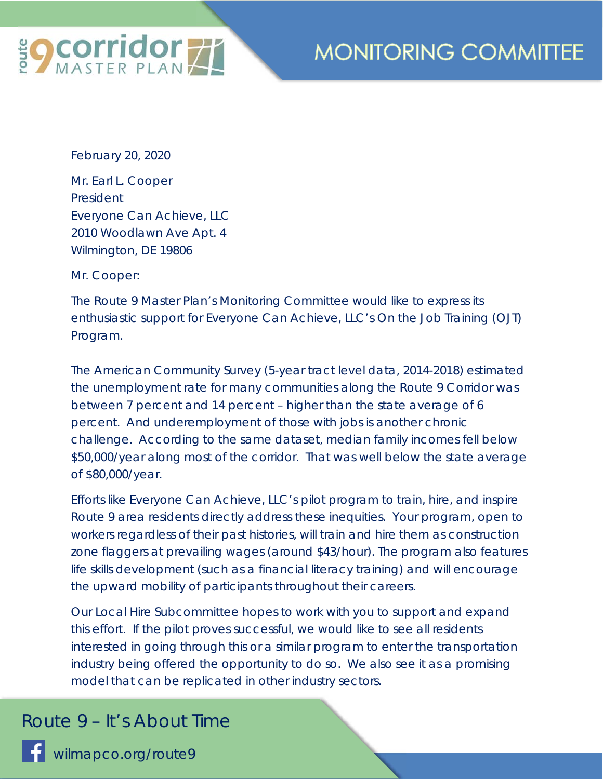

## **MONITORING COMMITTEE**

February 20, 2020

Mr. Earl L. Cooper President Everyone Can Achieve, LLC 2010 Woodlawn Ave Apt. 4 Wilmington, DE 19806

Mr. Cooper:

The Route 9 Master Plan's Monitoring Committee would like to express its enthusiastic support for Everyone Can Achieve, LLC's On the Job Training (OJT) Program.

The American Community Survey (5-year tract level data, 2014-2018) estimated the unemployment rate for many communities along the Route 9 Corridor was between 7 percent and 14 percent – higher than the state average of 6 percent. And underemployment of those with jobs is another chronic challenge. According to the same dataset, median family incomes fell below \$50,000/year along most of the corridor. That was well below the state average of \$80,000/year.

Efforts like Everyone Can Achieve, LLC's pilot program to train, hire, and inspire Route 9 area residents directly address these inequities. Your program, open to workers regardless of their past histories, will train and hire them as construction zone flaggers at prevailing wages (around \$43/hour). The program also features life skills development (such as a financial literacy training) and will encourage the upward mobility of participants throughout their careers.

Our Local Hire Subcommittee hopes to work with you to support and expand this effort. If the pilot proves successful, we would like to see all residents interested in going through this or a similar program to enter the transportation industry being offered the opportunity to do so. We also see it as a promising model that can be replicated in other industry sectors.

## *Route 9 – It's About Time*

wilmapco.org/route9